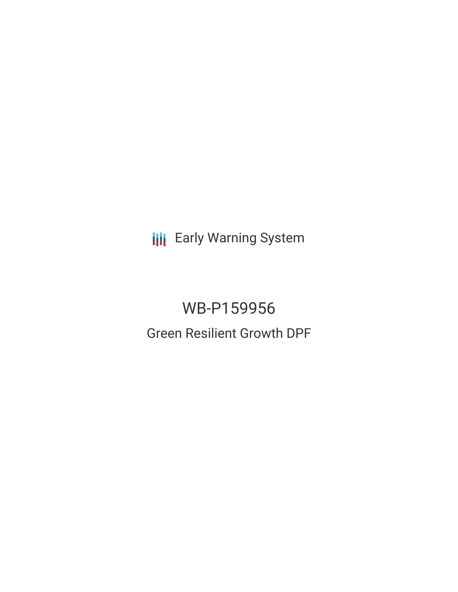**III** Early Warning System

WB-P159956 Green Resilient Growth DPF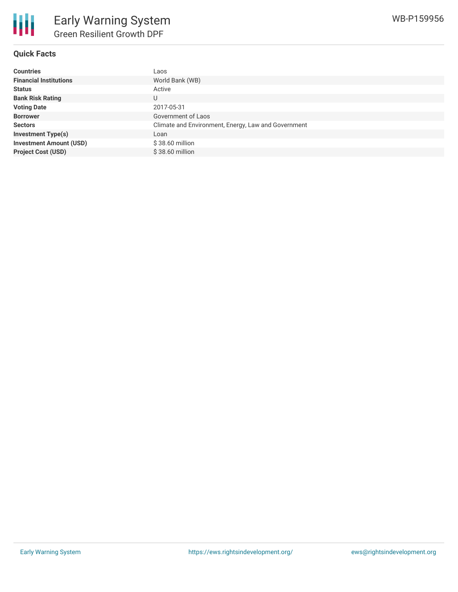

## **Quick Facts**

| <b>Countries</b>               | Laos                                                |
|--------------------------------|-----------------------------------------------------|
| <b>Financial Institutions</b>  | World Bank (WB)                                     |
| <b>Status</b>                  | Active                                              |
| <b>Bank Risk Rating</b>        | U                                                   |
| <b>Voting Date</b>             | 2017-05-31                                          |
| <b>Borrower</b>                | Government of Laos                                  |
| <b>Sectors</b>                 | Climate and Environment, Energy, Law and Government |
| <b>Investment Type(s)</b>      | Loan                                                |
| <b>Investment Amount (USD)</b> | \$38.60 million                                     |
| <b>Project Cost (USD)</b>      | \$38,60 million                                     |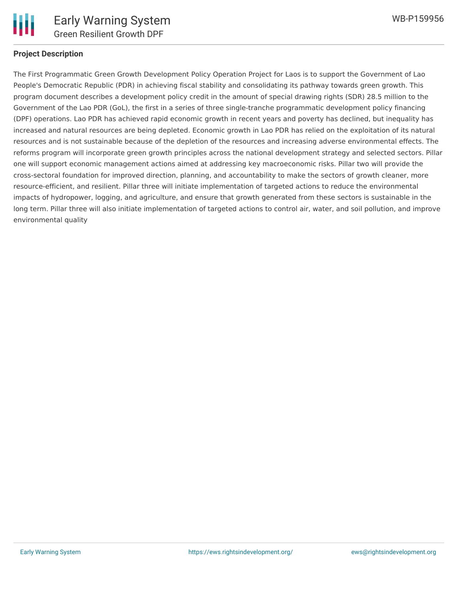

#### **Project Description**

The First Programmatic Green Growth Development Policy Operation Project for Laos is to support the Government of Lao People's Democratic Republic (PDR) in achieving fiscal stability and consolidating its pathway towards green growth. This program document describes a development policy credit in the amount of special drawing rights (SDR) 28.5 million to the Government of the Lao PDR (GoL), the first in a series of three single-tranche programmatic development policy financing (DPF) operations. Lao PDR has achieved rapid economic growth in recent years and poverty has declined, but inequality has increased and natural resources are being depleted. Economic growth in Lao PDR has relied on the exploitation of its natural resources and is not sustainable because of the depletion of the resources and increasing adverse environmental effects. The reforms program will incorporate green growth principles across the national development strategy and selected sectors. Pillar one will support economic management actions aimed at addressing key macroeconomic risks. Pillar two will provide the cross-sectoral foundation for improved direction, planning, and accountability to make the sectors of growth cleaner, more resource-efficient, and resilient. Pillar three will initiate implementation of targeted actions to reduce the environmental impacts of hydropower, logging, and agriculture, and ensure that growth generated from these sectors is sustainable in the long term. Pillar three will also initiate implementation of targeted actions to control air, water, and soil pollution, and improve environmental quality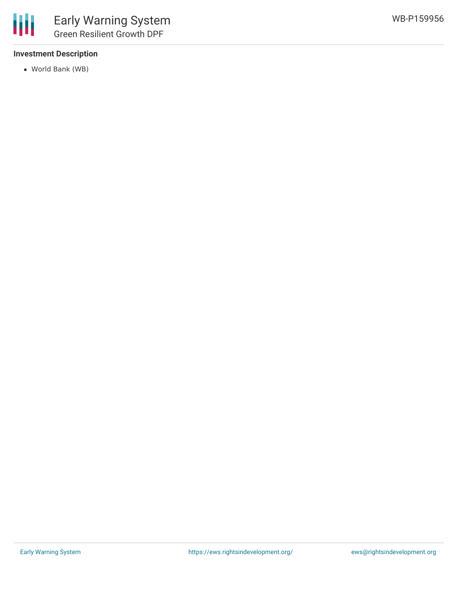# **Investment Description**

World Bank (WB)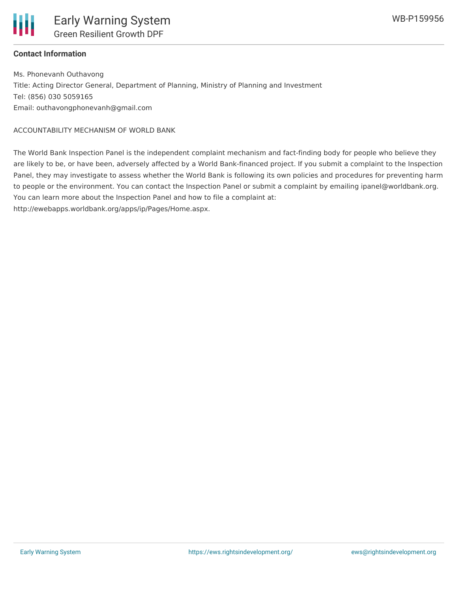

### **Contact Information**

Ms. Phonevanh Outhavong Title: Acting Director General, Department of Planning, Ministry of Planning and Investment Tel: (856) 030 5059165 Email: outhavongphonevanh@gmail.com

ACCOUNTABILITY MECHANISM OF WORLD BANK

The World Bank Inspection Panel is the independent complaint mechanism and fact-finding body for people who believe they are likely to be, or have been, adversely affected by a World Bank-financed project. If you submit a complaint to the Inspection Panel, they may investigate to assess whether the World Bank is following its own policies and procedures for preventing harm to people or the environment. You can contact the Inspection Panel or submit a complaint by emailing ipanel@worldbank.org. You can learn more about the Inspection Panel and how to file a complaint at:

http://ewebapps.worldbank.org/apps/ip/Pages/Home.aspx.